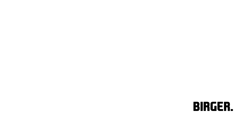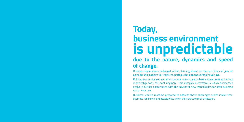# **business environment due to the nature, dynamics and speed of change. Today, is unpredictable**

Business leaders are challenged whilst planning ahead for the next financial year let alone for the medium to long term strategic development of their business.

Politics, economics and social factors are intermingled where simple cause and effect relationship does not exist anymore. This complex ecosystem in which businesses evolve is further exacerbated with the advent of new technologies for both business and private use.

Business leaders must be prepared to address these challenges which inhibit their business resiliency and adaptability when they execute their strategies.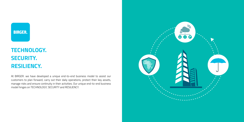

## **TECHNOLOGY. SECURITY. RESILIENCY.**

At BIRGER. we have developed a unique end-to-end business model to assist our customers to plan forward, carry out their daily operations, protect their key assets, manage risks and ensure continuity in their activities. Our unique end-to-end business model hinges on TECHNOLOGY, SECURITY and RESILIENCY.

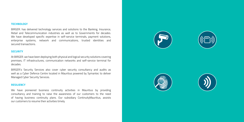#### **TECHNOLOGY**

BIRGER. has delivered technology services and solutions to the Banking, Insurance, Retail and Telecommunication industries as well as to Governments for decades. We have developed specific expertise in self-service terminals, payment solutions, enterprise systems, network and communications, trusted identities and secured transactions.

#### **SECURITY**

At BIRGER. we have been deploying both physical and logical security solutions covering premises, IT infrastructures, communication networks and self-service terminal for decades.

BIRGER.'s Security Services also cover cyber security consultancy and audits as well as a Cyber Defence Centre located in Mauritius powered by Symantec to deliver Managed Cyber Security Services.

#### **RESILIENCY**

We have pioneered business continuity activities in Mauritius by providing consultancy and training to raise the awareness of our customers to the need of having business continuity plans. Our subsidiary ContinuityMauritius, assists our customers to resume their activities timely.







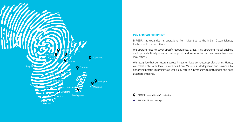

#### **PAN AFRICAN FOOTPRINT**

BIRGER. has expanded its operations from Mauritius to the Indian Ocean Islands, Eastern and Southern Africa.

We operate hubs to cover specific geographical areas. This operating model enables us to provide timely on-site local support and services to our customers from our local offices.

We recognise that our future success hinges on local competent professionals. Hence, we collaborate with local universities from Mauritius, Madagascar and Rwanda by endorsing practicum projects as well as by offering internships to both under and post graduate students.

#### O BIRGER.'s local offices in 9 territories

BIRGER.'s African coverage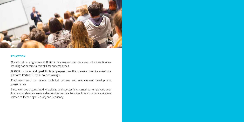

### **EDUCATION**

Our education programme at BIRGER. has evolved over the years, where continuous learning has become a core skill for our employees.

BIRGER. nurtures and up-skills its employees over their careers using its e-learning platform, Partner'IT, for in-house trainings.

Employees enrol on regular technical courses and management development programmes.

Since we have accumulated knowledge and successfully trained our employees over the past six decades, we are able to offer practical trainings to our customers in areas related to Technology, Security and Resiliency.